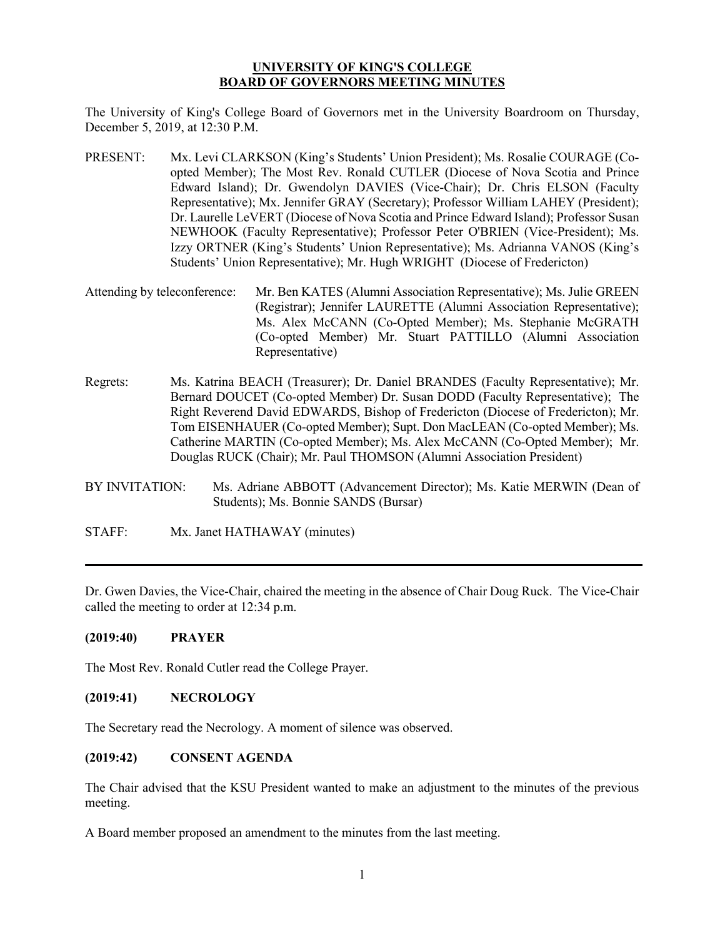### **UNIVERSITY OF KING'S COLLEGE BOARD OF GOVERNORS MEETING MINUTES**

The University of King's College Board of Governors met in the University Boardroom on Thursday, December 5, 2019, at 12:30 P.M.

- PRESENT: Mx. Levi CLARKSON (King's Students' Union President); Ms. Rosalie COURAGE (Coopted Member); The Most Rev. Ronald CUTLER (Diocese of Nova Scotia and Prince Edward Island); Dr. Gwendolyn DAVIES (Vice-Chair); Dr. Chris ELSON (Faculty Representative); Mx. Jennifer GRAY (Secretary); Professor William LAHEY (President); Dr. Laurelle LeVERT (Diocese of Nova Scotia and Prince Edward Island); Professor Susan NEWHOOK (Faculty Representative); Professor Peter O'BRIEN (Vice-President); Ms. Izzy ORTNER (King's Students' Union Representative); Ms. Adrianna VANOS (King's Students' Union Representative); Mr. Hugh WRIGHT (Diocese of Fredericton)
- Attending by teleconference: Mr. Ben KATES (Alumni Association Representative); Ms. Julie GREEN (Registrar); Jennifer LAURETTE (Alumni Association Representative); Ms. Alex McCANN (Co-Opted Member); Ms. Stephanie McGRATH (Co-opted Member) Mr. Stuart PATTILLO (Alumni Association Representative)
- Regrets: Ms. Katrina BEACH (Treasurer); Dr. Daniel BRANDES (Faculty Representative); Mr. Bernard DOUCET (Co-opted Member) Dr. Susan DODD (Faculty Representative); The Right Reverend David EDWARDS, Bishop of Fredericton (Diocese of Fredericton); Mr. Tom EISENHAUER (Co-opted Member); Supt. Don MacLEAN (Co-opted Member); Ms. Catherine MARTIN (Co-opted Member); Ms. Alex McCANN (Co-Opted Member); Mr. Douglas RUCK (Chair); Mr. Paul THOMSON (Alumni Association President)
- BY INVITATION: Ms. Adriane ABBOTT (Advancement Director); Ms. Katie MERWIN (Dean of Students); Ms. Bonnie SANDS (Bursar)
- STAFF: Mx. Janet HATHAWAY (minutes)

Dr. Gwen Davies, the Vice-Chair, chaired the meeting in the absence of Chair Doug Ruck. The Vice-Chair called the meeting to order at 12:34 p.m.

### **(2019:40) PRAYER**

The Most Rev. Ronald Cutler read the College Prayer.

### **(2019:41) NECROLOGY**

The Secretary read the Necrology. A moment of silence was observed.

### **(2019:42) CONSENT AGENDA**

The Chair advised that the KSU President wanted to make an adjustment to the minutes of the previous meeting.

A Board member proposed an amendment to the minutes from the last meeting.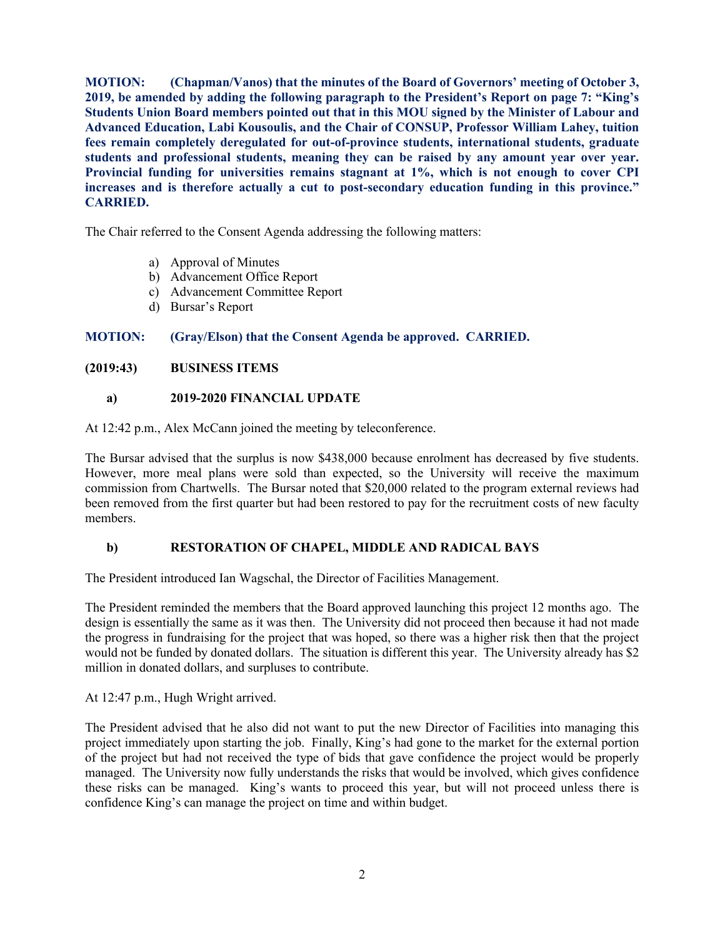**MOTION: (Chapman/Vanos) that the minutes of the Board of Governors' meeting of October 3, 2019, be amended by adding the following paragraph to the President's Report on page 7: "King's Students Union Board members pointed out that in this MOU signed by the Minister of Labour and Advanced Education, Labi Kousoulis, and the Chair of CONSUP, Professor William Lahey, tuition fees remain completely deregulated for out-of-province students, international students, graduate students and professional students, meaning they can be raised by any amount year over year. Provincial funding for universities remains stagnant at 1%, which is not enough to cover CPI increases and is therefore actually a cut to post-secondary education funding in this province." CARRIED.**

The Chair referred to the Consent Agenda addressing the following matters:

- a) Approval of Minutes
- b) Advancement Office Report
- c) Advancement Committee Report
- d) Bursar's Report

#### **MOTION: (Gray/Elson) that the Consent Agenda be approved. CARRIED.**

#### **(2019:43) BUSINESS ITEMS**

#### **a) 2019-2020 FINANCIAL UPDATE**

At 12:42 p.m., Alex McCann joined the meeting by teleconference.

The Bursar advised that the surplus is now \$438,000 because enrolment has decreased by five students. However, more meal plans were sold than expected, so the University will receive the maximum commission from Chartwells. The Bursar noted that \$20,000 related to the program external reviews had been removed from the first quarter but had been restored to pay for the recruitment costs of new faculty members.

### **b) RESTORATION OF CHAPEL, MIDDLE AND RADICAL BAYS**

The President introduced Ian Wagschal, the Director of Facilities Management.

The President reminded the members that the Board approved launching this project 12 months ago. The design is essentially the same as it was then. The University did not proceed then because it had not made the progress in fundraising for the project that was hoped, so there was a higher risk then that the project would not be funded by donated dollars. The situation is different this year. The University already has \$2 million in donated dollars, and surpluses to contribute.

At 12:47 p.m., Hugh Wright arrived.

The President advised that he also did not want to put the new Director of Facilities into managing this project immediately upon starting the job. Finally, King's had gone to the market for the external portion of the project but had not received the type of bids that gave confidence the project would be properly managed. The University now fully understands the risks that would be involved, which gives confidence these risks can be managed. King's wants to proceed this year, but will not proceed unless there is confidence King's can manage the project on time and within budget.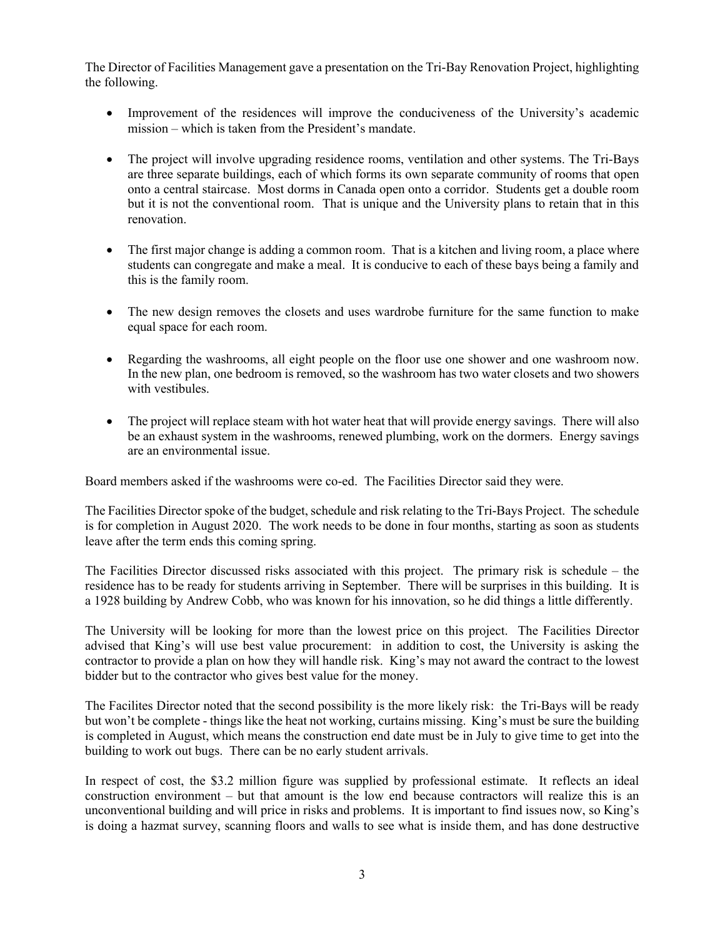The Director of Facilities Management gave a presentation on the Tri-Bay Renovation Project, highlighting the following.

- Improvement of the residences will improve the conduciveness of the University's academic mission – which is taken from the President's mandate.
- The project will involve upgrading residence rooms, ventilation and other systems. The Tri-Bays are three separate buildings, each of which forms its own separate community of rooms that open onto a central staircase. Most dorms in Canada open onto a corridor. Students get a double room but it is not the conventional room. That is unique and the University plans to retain that in this renovation.
- The first major change is adding a common room. That is a kitchen and living room, a place where students can congregate and make a meal. It is conducive to each of these bays being a family and this is the family room.
- The new design removes the closets and uses wardrobe furniture for the same function to make equal space for each room.
- Regarding the washrooms, all eight people on the floor use one shower and one washroom now. In the new plan, one bedroom is removed, so the washroom has two water closets and two showers with vestibules.
- The project will replace steam with hot water heat that will provide energy savings. There will also be an exhaust system in the washrooms, renewed plumbing, work on the dormers. Energy savings are an environmental issue.

Board members asked if the washrooms were co-ed. The Facilities Director said they were.

The Facilities Director spoke of the budget, schedule and risk relating to the Tri-Bays Project. The schedule is for completion in August 2020. The work needs to be done in four months, starting as soon as students leave after the term ends this coming spring.

The Facilities Director discussed risks associated with this project. The primary risk is schedule – the residence has to be ready for students arriving in September. There will be surprises in this building. It is a 1928 building by Andrew Cobb, who was known for his innovation, so he did things a little differently.

The University will be looking for more than the lowest price on this project. The Facilities Director advised that King's will use best value procurement: in addition to cost, the University is asking the contractor to provide a plan on how they will handle risk. King's may not award the contract to the lowest bidder but to the contractor who gives best value for the money.

The Facilites Director noted that the second possibility is the more likely risk: the Tri-Bays will be ready but won't be complete - things like the heat not working, curtains missing. King's must be sure the building is completed in August, which means the construction end date must be in July to give time to get into the building to work out bugs. There can be no early student arrivals.

In respect of cost, the \$3.2 million figure was supplied by professional estimate. It reflects an ideal construction environment – but that amount is the low end because contractors will realize this is an unconventional building and will price in risks and problems. It is important to find issues now, so King's is doing a hazmat survey, scanning floors and walls to see what is inside them, and has done destructive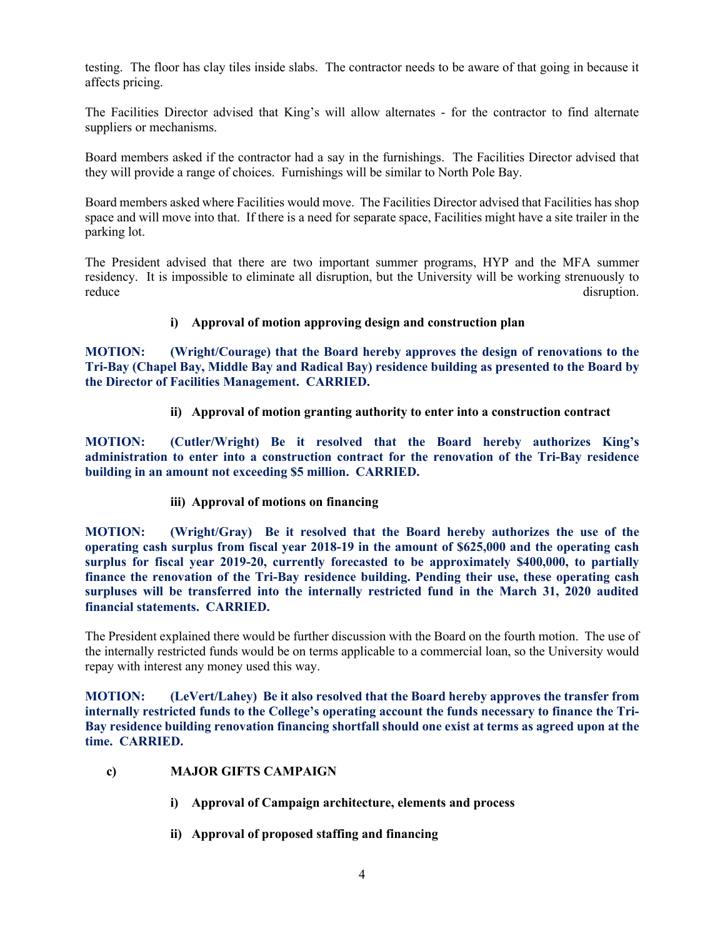testing. The floor has clay tiles inside slabs. The contractor needs to be aware of that going in because it affects pricing.

The Facilities Director advised that King's will allow alternates - for the contractor to find alternate suppliers or mechanisms.

Board members asked if the contractor had a say in the furnishings. The Facilities Director advised that they will provide a range of choices. Furnishings will be similar to North Pole Bay.

Board members asked where Facilities would move. The Facilities Director advised that Facilities has shop space and will move into that. If there is a need for separate space, Facilities might have a site trailer in the parking lot.

The President advised that there are two important summer programs, HYP and the MFA summer residency. It is impossible to eliminate all disruption, but the University will be working strenuously to reduce disruption.

## **i) Approval of motion approving design and construction plan**

**MOTION: (Wright/Courage) that the Board hereby approves the design of renovations to the Tri-Bay (Chapel Bay, Middle Bay and Radical Bay) residence building as presented to the Board by the Director of Facilities Management. CARRIED.** 

**ii) Approval of motion granting authority to enter into a construction contract**

**MOTION: (Cutler/Wright) Be it resolved that the Board hereby authorizes King's administration to enter into a construction contract for the renovation of the Tri-Bay residence building in an amount not exceeding \$5 million. CARRIED.**

**iii) Approval of motions on financing**

**MOTION: (Wright/Gray) Be it resolved that the Board hereby authorizes the use of the operating cash surplus from fiscal year 2018-19 in the amount of \$625,000 and the operating cash surplus for fiscal year 2019-20, currently forecasted to be approximately \$400,000, to partially finance the renovation of the Tri-Bay residence building. Pending their use, these operating cash surpluses will be transferred into the internally restricted fund in the March 31, 2020 audited financial statements. CARRIED.**

The President explained there would be further discussion with the Board on the fourth motion. The use of the internally restricted funds would be on terms applicable to a commercial loan, so the University would repay with interest any money used this way.

**MOTION: (LeVert/Lahey) Be it also resolved that the Board hereby approves the transfer from internally restricted funds to the College's operating account the funds necessary to finance the Tri-Bay residence building renovation financing shortfall should one exist at terms as agreed upon at the time. CARRIED.**

- **c) MAJOR GIFTS CAMPAIGN**
	- **i) Approval of Campaign architecture, elements and process**
	- **ii) Approval of proposed staffing and financing**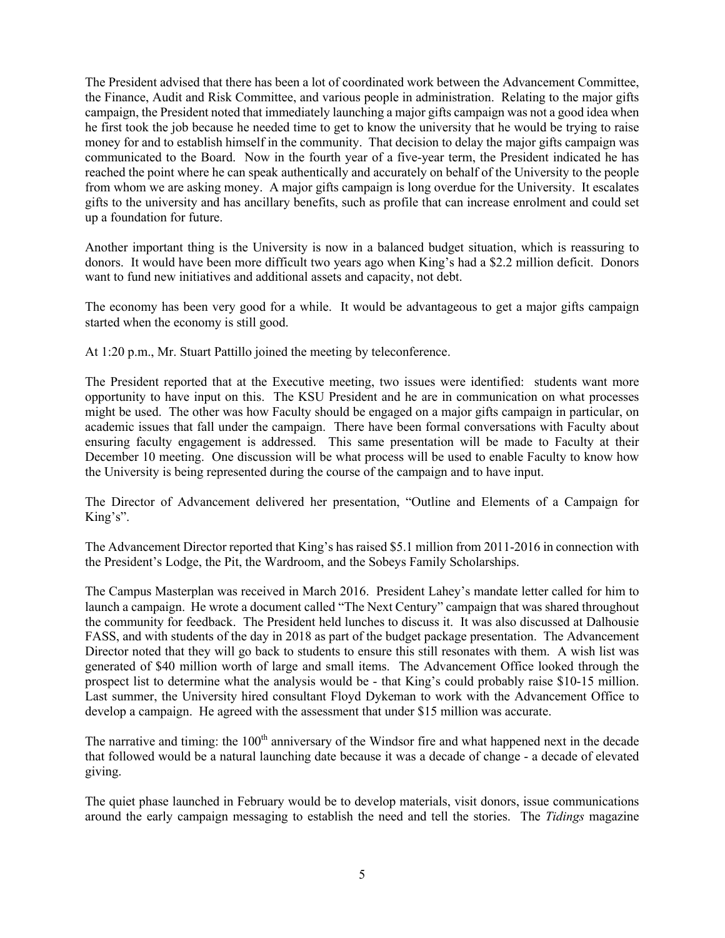The President advised that there has been a lot of coordinated work between the Advancement Committee, the Finance, Audit and Risk Committee, and various people in administration. Relating to the major gifts campaign, the President noted that immediately launching a major gifts campaign was not a good idea when he first took the job because he needed time to get to know the university that he would be trying to raise money for and to establish himself in the community. That decision to delay the major gifts campaign was communicated to the Board. Now in the fourth year of a five-year term, the President indicated he has reached the point where he can speak authentically and accurately on behalf of the University to the people from whom we are asking money. A major gifts campaign is long overdue for the University. It escalates gifts to the university and has ancillary benefits, such as profile that can increase enrolment and could set up a foundation for future.

Another important thing is the University is now in a balanced budget situation, which is reassuring to donors. It would have been more difficult two years ago when King's had a \$2.2 million deficit. Donors want to fund new initiatives and additional assets and capacity, not debt.

The economy has been very good for a while. It would be advantageous to get a major gifts campaign started when the economy is still good.

At 1:20 p.m., Mr. Stuart Pattillo joined the meeting by teleconference.

The President reported that at the Executive meeting, two issues were identified: students want more opportunity to have input on this. The KSU President and he are in communication on what processes might be used. The other was how Faculty should be engaged on a major gifts campaign in particular, on academic issues that fall under the campaign. There have been formal conversations with Faculty about ensuring faculty engagement is addressed. This same presentation will be made to Faculty at their December 10 meeting. One discussion will be what process will be used to enable Faculty to know how the University is being represented during the course of the campaign and to have input.

The Director of Advancement delivered her presentation, "Outline and Elements of a Campaign for King's".

The Advancement Director reported that King's has raised \$5.1 million from 2011-2016 in connection with the President's Lodge, the Pit, the Wardroom, and the Sobeys Family Scholarships.

The Campus Masterplan was received in March 2016. President Lahey's mandate letter called for him to launch a campaign. He wrote a document called "The Next Century" campaign that was shared throughout the community for feedback. The President held lunches to discuss it. It was also discussed at Dalhousie FASS, and with students of the day in 2018 as part of the budget package presentation. The Advancement Director noted that they will go back to students to ensure this still resonates with them. A wish list was generated of \$40 million worth of large and small items. The Advancement Office looked through the prospect list to determine what the analysis would be - that King's could probably raise \$10-15 million. Last summer, the University hired consultant Floyd Dykeman to work with the Advancement Office to develop a campaign. He agreed with the assessment that under \$15 million was accurate.

The narrative and timing: the 100<sup>th</sup> anniversary of the Windsor fire and what happened next in the decade that followed would be a natural launching date because it was a decade of change - a decade of elevated giving.

The quiet phase launched in February would be to develop materials, visit donors, issue communications around the early campaign messaging to establish the need and tell the stories. The *Tidings* magazine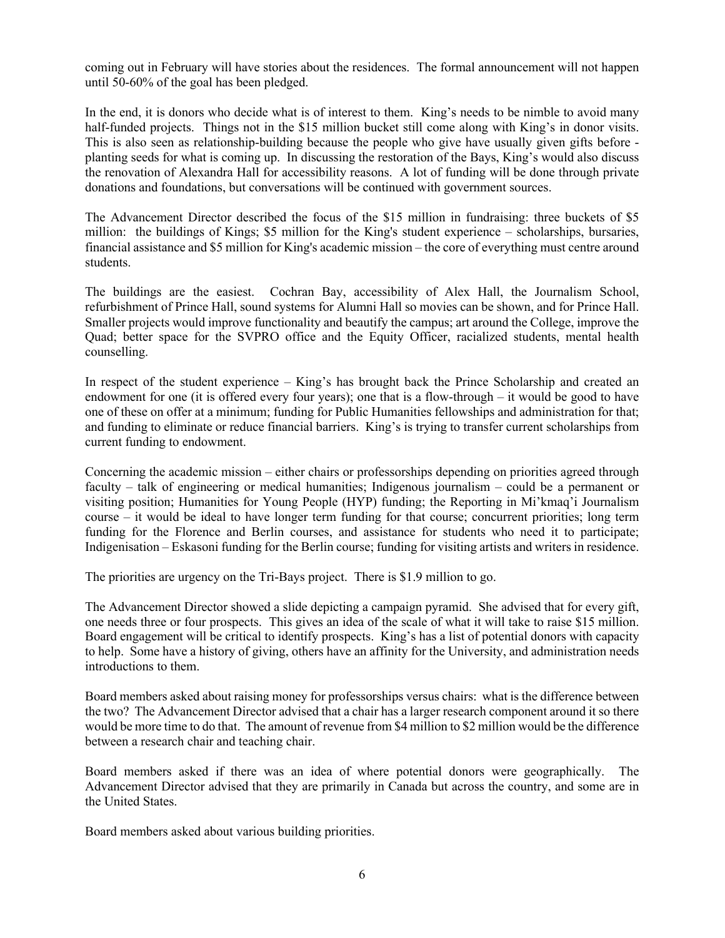coming out in February will have stories about the residences. The formal announcement will not happen until 50-60% of the goal has been pledged.

In the end, it is donors who decide what is of interest to them. King's needs to be nimble to avoid many half-funded projects. Things not in the \$15 million bucket still come along with King's in donor visits. This is also seen as relationship-building because the people who give have usually given gifts before planting seeds for what is coming up. In discussing the restoration of the Bays, King's would also discuss the renovation of Alexandra Hall for accessibility reasons. A lot of funding will be done through private donations and foundations, but conversations will be continued with government sources.

The Advancement Director described the focus of the \$15 million in fundraising: three buckets of \$5 million: the buildings of Kings; \$5 million for the King's student experience – scholarships, bursaries, financial assistance and \$5 million for King's academic mission – the core of everything must centre around students.

The buildings are the easiest. Cochran Bay, accessibility of Alex Hall, the Journalism School, refurbishment of Prince Hall, sound systems for Alumni Hall so movies can be shown, and for Prince Hall. Smaller projects would improve functionality and beautify the campus; art around the College, improve the Quad; better space for the SVPRO office and the Equity Officer, racialized students, mental health counselling.

In respect of the student experience – King's has brought back the Prince Scholarship and created an endowment for one (it is offered every four years); one that is a flow-through – it would be good to have one of these on offer at a minimum; funding for Public Humanities fellowships and administration for that; and funding to eliminate or reduce financial barriers. King's is trying to transfer current scholarships from current funding to endowment.

Concerning the academic mission – either chairs or professorships depending on priorities agreed through faculty – talk of engineering or medical humanities; Indigenous journalism – could be a permanent or visiting position; Humanities for Young People (HYP) funding; the Reporting in Mi'kmaq'i Journalism course – it would be ideal to have longer term funding for that course; concurrent priorities; long term funding for the Florence and Berlin courses, and assistance for students who need it to participate; Indigenisation – Eskasoni funding for the Berlin course; funding for visiting artists and writers in residence.

The priorities are urgency on the Tri-Bays project. There is \$1.9 million to go.

The Advancement Director showed a slide depicting a campaign pyramid. She advised that for every gift, one needs three or four prospects. This gives an idea of the scale of what it will take to raise \$15 million. Board engagement will be critical to identify prospects. King's has a list of potential donors with capacity to help. Some have a history of giving, others have an affinity for the University, and administration needs introductions to them.

Board members asked about raising money for professorships versus chairs: what is the difference between the two? The Advancement Director advised that a chair has a larger research component around it so there would be more time to do that. The amount of revenue from \$4 million to \$2 million would be the difference between a research chair and teaching chair.

Board members asked if there was an idea of where potential donors were geographically. The Advancement Director advised that they are primarily in Canada but across the country, and some are in the United States.

Board members asked about various building priorities.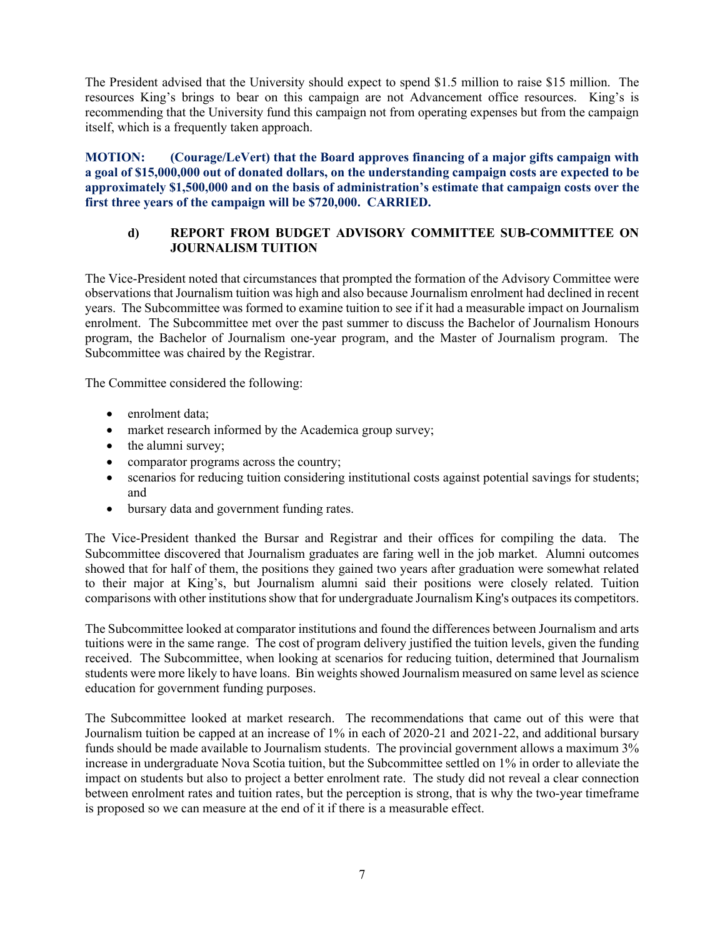The President advised that the University should expect to spend \$1.5 million to raise \$15 million. The resources King's brings to bear on this campaign are not Advancement office resources. King's is recommending that the University fund this campaign not from operating expenses but from the campaign itself, which is a frequently taken approach.

**MOTION: (Courage/LeVert) that the Board approves financing of a major gifts campaign with a goal of \$15,000,000 out of donated dollars, on the understanding campaign costs are expected to be approximately \$1,500,000 and on the basis of administration's estimate that campaign costs over the first three years of the campaign will be \$720,000. CARRIED.**

# **d) REPORT FROM BUDGET ADVISORY COMMITTEE SUB-COMMITTEE ON JOURNALISM TUITION**

The Vice-President noted that circumstances that prompted the formation of the Advisory Committee were observations that Journalism tuition was high and also because Journalism enrolment had declined in recent years. The Subcommittee was formed to examine tuition to see if it had a measurable impact on Journalism enrolment. The Subcommittee met over the past summer to discuss the Bachelor of Journalism Honours program, the Bachelor of Journalism one-year program, and the Master of Journalism program. The Subcommittee was chaired by the Registrar.

The Committee considered the following:

- enrolment data:
- market research informed by the Academica group survey;
- the alumni survey;
- comparator programs across the country;
- scenarios for reducing tuition considering institutional costs against potential savings for students; and
- bursary data and government funding rates.

The Vice-President thanked the Bursar and Registrar and their offices for compiling the data. The Subcommittee discovered that Journalism graduates are faring well in the job market. Alumni outcomes showed that for half of them, the positions they gained two years after graduation were somewhat related to their major at King's, but Journalism alumni said their positions were closely related. Tuition comparisons with other institutions show that for undergraduate Journalism King's outpaces its competitors.

The Subcommittee looked at comparator institutions and found the differences between Journalism and arts tuitions were in the same range. The cost of program delivery justified the tuition levels, given the funding received. The Subcommittee, when looking at scenarios for reducing tuition, determined that Journalism students were more likely to have loans. Bin weights showed Journalism measured on same level as science education for government funding purposes.

The Subcommittee looked at market research. The recommendations that came out of this were that Journalism tuition be capped at an increase of 1% in each of 2020-21 and 2021-22, and additional bursary funds should be made available to Journalism students. The provincial government allows a maximum 3% increase in undergraduate Nova Scotia tuition, but the Subcommittee settled on 1% in order to alleviate the impact on students but also to project a better enrolment rate. The study did not reveal a clear connection between enrolment rates and tuition rates, but the perception is strong, that is why the two-year timeframe is proposed so we can measure at the end of it if there is a measurable effect.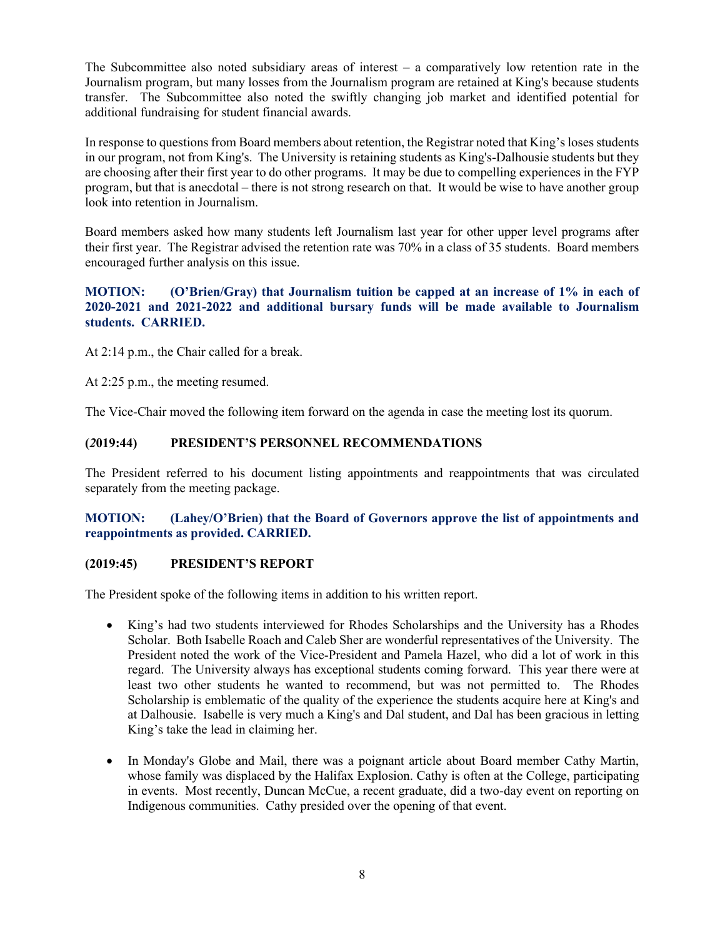The Subcommittee also noted subsidiary areas of interest  $-$  a comparatively low retention rate in the Journalism program, but many losses from the Journalism program are retained at King's because students transfer. The Subcommittee also noted the swiftly changing job market and identified potential for additional fundraising for student financial awards.

In response to questions from Board members about retention, the Registrar noted that King's loses students in our program, not from King's. The University is retaining students as King's-Dalhousie students but they are choosing after their first year to do other programs. It may be due to compelling experiences in the FYP program, but that is anecdotal – there is not strong research on that. It would be wise to have another group look into retention in Journalism.

Board members asked how many students left Journalism last year for other upper level programs after their first year. The Registrar advised the retention rate was 70% in a class of 35 students. Board members encouraged further analysis on this issue.

### **MOTION: (O'Brien/Gray) that Journalism tuition be capped at an increase of 1% in each of 2020-2021 and 2021-2022 and additional bursary funds will be made available to Journalism students. CARRIED.**

At 2:14 p.m., the Chair called for a break.

At 2:25 p.m., the meeting resumed.

The Vice-Chair moved the following item forward on the agenda in case the meeting lost its quorum.

## **(***2***019:44) PRESIDENT'S PERSONNEL RECOMMENDATIONS**

The President referred to his document listing appointments and reappointments that was circulated separately from the meeting package.

## **MOTION: (Lahey/O'Brien) that the Board of Governors approve the list of appointments and reappointments as provided. CARRIED.**

### **(2019:45) PRESIDENT'S REPORT**

The President spoke of the following items in addition to his written report.

- King's had two students interviewed for Rhodes Scholarships and the University has a Rhodes Scholar. Both Isabelle Roach and Caleb Sher are wonderful representatives of the University. The President noted the work of the Vice-President and Pamela Hazel, who did a lot of work in this regard. The University always has exceptional students coming forward. This year there were at least two other students he wanted to recommend, but was not permitted to. The Rhodes Scholarship is emblematic of the quality of the experience the students acquire here at King's and at Dalhousie. Isabelle is very much a King's and Dal student, and Dal has been gracious in letting King's take the lead in claiming her.
- In Monday's Globe and Mail, there was a poignant article about Board member Cathy Martin, whose family was displaced by the Halifax Explosion. Cathy is often at the College, participating in events. Most recently, Duncan McCue, a recent graduate, did a two-day event on reporting on Indigenous communities. Cathy presided over the opening of that event.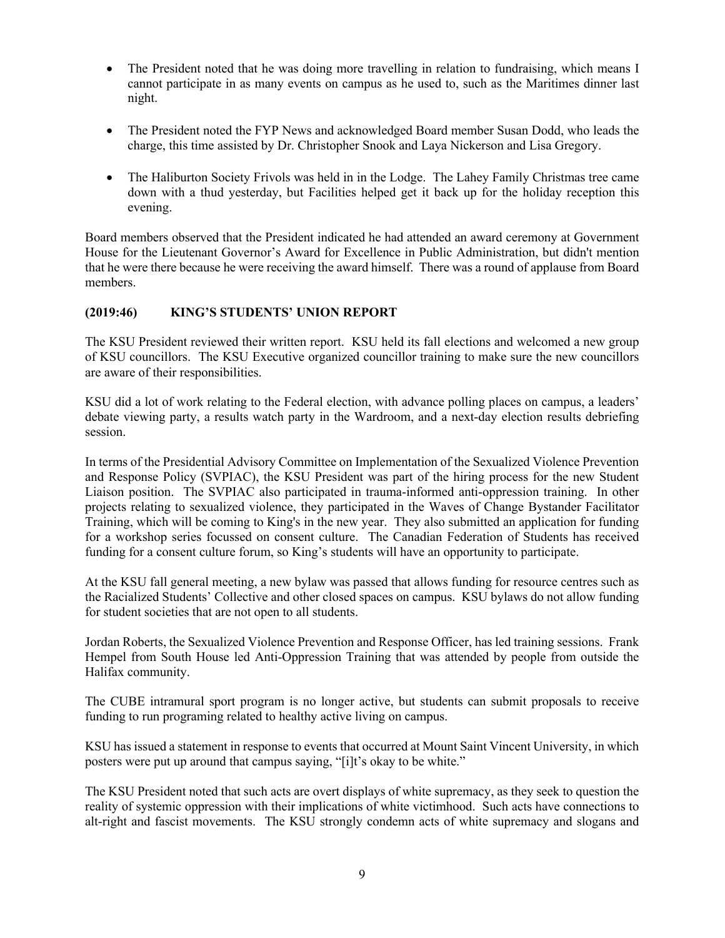- The President noted that he was doing more travelling in relation to fundraising, which means I cannot participate in as many events on campus as he used to, such as the Maritimes dinner last night.
- The President noted the FYP News and acknowledged Board member Susan Dodd, who leads the charge, this time assisted by Dr. Christopher Snook and Laya Nickerson and Lisa Gregory.
- The Haliburton Society Frivols was held in in the Lodge. The Lahey Family Christmas tree came down with a thud yesterday, but Facilities helped get it back up for the holiday reception this evening.

Board members observed that the President indicated he had attended an award ceremony at Government House for the Lieutenant Governor's Award for Excellence in Public Administration, but didn't mention that he were there because he were receiving the award himself. There was a round of applause from Board members.

## **(2019:46) KING'S STUDENTS' UNION REPORT**

The KSU President reviewed their written report. KSU held its fall elections and welcomed a new group of KSU councillors. The KSU Executive organized councillor training to make sure the new councillors are aware of their responsibilities.

KSU did a lot of work relating to the Federal election, with advance polling places on campus, a leaders' debate viewing party, a results watch party in the Wardroom, and a next-day election results debriefing session.

In terms of the Presidential Advisory Committee on Implementation of the Sexualized Violence Prevention and Response Policy (SVPIAC), the KSU President was part of the hiring process for the new Student Liaison position. The SVPIAC also participated in trauma-informed anti-oppression training. In other projects relating to sexualized violence, they participated in the Waves of Change Bystander Facilitator Training, which will be coming to King's in the new year. They also submitted an application for funding for a workshop series focussed on consent culture. The Canadian Federation of Students has received funding for a consent culture forum, so King's students will have an opportunity to participate.

At the KSU fall general meeting, a new bylaw was passed that allows funding for resource centres such as the Racialized Students' Collective and other closed spaces on campus. KSU bylaws do not allow funding for student societies that are not open to all students.

Jordan Roberts, the Sexualized Violence Prevention and Response Officer, has led training sessions. Frank Hempel from South House led Anti-Oppression Training that was attended by people from outside the Halifax community.

The CUBE intramural sport program is no longer active, but students can submit proposals to receive funding to run programing related to healthy active living on campus.

KSU has issued a statement in response to events that occurred at Mount Saint Vincent University, in which posters were put up around that campus saying, "[i]t's okay to be white."

The KSU President noted that such acts are overt displays of white supremacy, as they seek to question the reality of systemic oppression with their implications of white victimhood. Such acts have connections to alt-right and fascist movements. The KSU strongly condemn acts of white supremacy and slogans and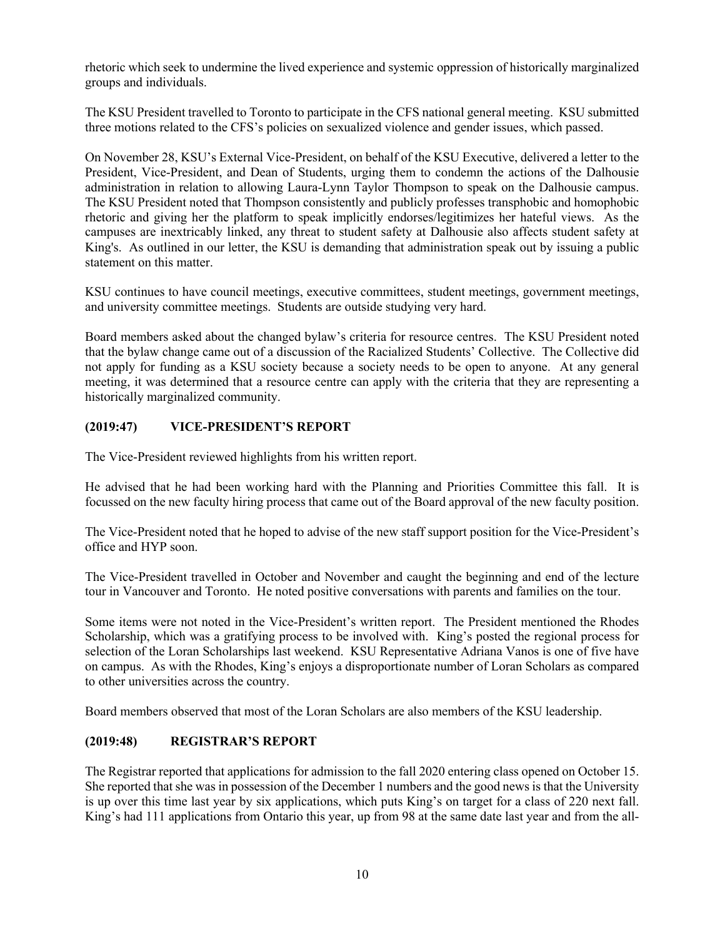rhetoric which seek to undermine the lived experience and systemic oppression of historically marginalized groups and individuals.

The KSU President travelled to Toronto to participate in the CFS national general meeting. KSU submitted three motions related to the CFS's policies on sexualized violence and gender issues, which passed.

On November 28, KSU's External Vice-President, on behalf of the KSU Executive, delivered a letter to the President, Vice-President, and Dean of Students, urging them to condemn the actions of the Dalhousie administration in relation to allowing Laura-Lynn Taylor Thompson to speak on the Dalhousie campus. The KSU President noted that Thompson consistently and publicly professes transphobic and homophobic rhetoric and giving her the platform to speak implicitly endorses/legitimizes her hateful views. As the campuses are inextricably linked, any threat to student safety at Dalhousie also affects student safety at King's. As outlined in our letter, the KSU is demanding that administration speak out by issuing a public statement on this matter.

KSU continues to have council meetings, executive committees, student meetings, government meetings, and university committee meetings. Students are outside studying very hard.

Board members asked about the changed bylaw's criteria for resource centres. The KSU President noted that the bylaw change came out of a discussion of the Racialized Students' Collective. The Collective did not apply for funding as a KSU society because a society needs to be open to anyone. At any general meeting, it was determined that a resource centre can apply with the criteria that they are representing a historically marginalized community.

# **(2019:47) VICE-PRESIDENT'S REPORT**

The Vice-President reviewed highlights from his written report.

He advised that he had been working hard with the Planning and Priorities Committee this fall. It is focussed on the new faculty hiring process that came out of the Board approval of the new faculty position.

The Vice-President noted that he hoped to advise of the new staff support position for the Vice-President's office and HYP soon.

The Vice-President travelled in October and November and caught the beginning and end of the lecture tour in Vancouver and Toronto. He noted positive conversations with parents and families on the tour.

Some items were not noted in the Vice-President's written report. The President mentioned the Rhodes Scholarship, which was a gratifying process to be involved with. King's posted the regional process for selection of the Loran Scholarships last weekend. KSU Representative Adriana Vanos is one of five have on campus. As with the Rhodes, King's enjoys a disproportionate number of Loran Scholars as compared to other universities across the country.

Board members observed that most of the Loran Scholars are also members of the KSU leadership.

### **(2019:48) REGISTRAR'S REPORT**

The Registrar reported that applications for admission to the fall 2020 entering class opened on October 15. She reported that she was in possession of the December 1 numbers and the good news is that the University is up over this time last year by six applications, which puts King's on target for a class of 220 next fall. King's had 111 applications from Ontario this year, up from 98 at the same date last year and from the all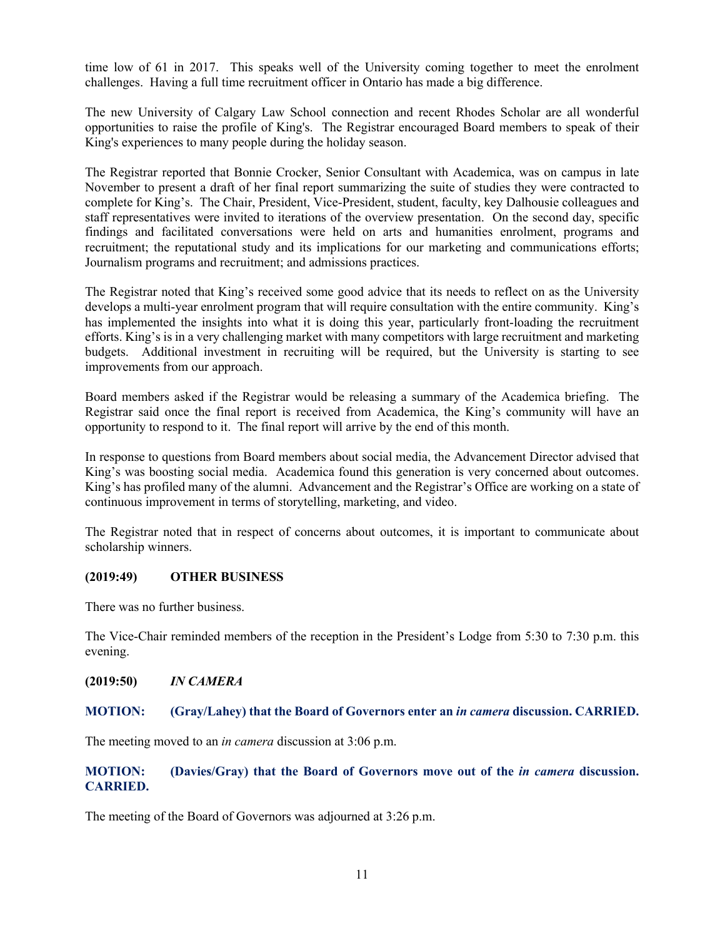time low of 61 in 2017. This speaks well of the University coming together to meet the enrolment challenges. Having a full time recruitment officer in Ontario has made a big difference.

The new University of Calgary Law School connection and recent Rhodes Scholar are all wonderful opportunities to raise the profile of King's. The Registrar encouraged Board members to speak of their King's experiences to many people during the holiday season.

The Registrar reported that Bonnie Crocker, Senior Consultant with Academica, was on campus in late November to present a draft of her final report summarizing the suite of studies they were contracted to complete for King's. The Chair, President, Vice-President, student, faculty, key Dalhousie colleagues and staff representatives were invited to iterations of the overview presentation. On the second day, specific findings and facilitated conversations were held on arts and humanities enrolment, programs and recruitment; the reputational study and its implications for our marketing and communications efforts; Journalism programs and recruitment; and admissions practices.

The Registrar noted that King's received some good advice that its needs to reflect on as the University develops a multi-year enrolment program that will require consultation with the entire community. King's has implemented the insights into what it is doing this year, particularly front-loading the recruitment efforts. King's is in a very challenging market with many competitors with large recruitment and marketing budgets. Additional investment in recruiting will be required, but the University is starting to see improvements from our approach.

Board members asked if the Registrar would be releasing a summary of the Academica briefing. The Registrar said once the final report is received from Academica, the King's community will have an opportunity to respond to it. The final report will arrive by the end of this month.

In response to questions from Board members about social media, the Advancement Director advised that King's was boosting social media. Academica found this generation is very concerned about outcomes. King's has profiled many of the alumni. Advancement and the Registrar's Office are working on a state of continuous improvement in terms of storytelling, marketing, and video.

The Registrar noted that in respect of concerns about outcomes, it is important to communicate about scholarship winners.

### **(2019:49) OTHER BUSINESS**

There was no further business.

The Vice-Chair reminded members of the reception in the President's Lodge from 5:30 to 7:30 p.m. this evening.

**(2019:50)** *IN CAMERA*

#### **MOTION: (Gray/Lahey) that the Board of Governors enter an** *in camera* **discussion. CARRIED.**

The meeting moved to an *in camera* discussion at 3:06 p.m.

### **MOTION: (Davies/Gray) that the Board of Governors move out of the** *in camera* **discussion. CARRIED.**

The meeting of the Board of Governors was adjourned at 3:26 p.m.